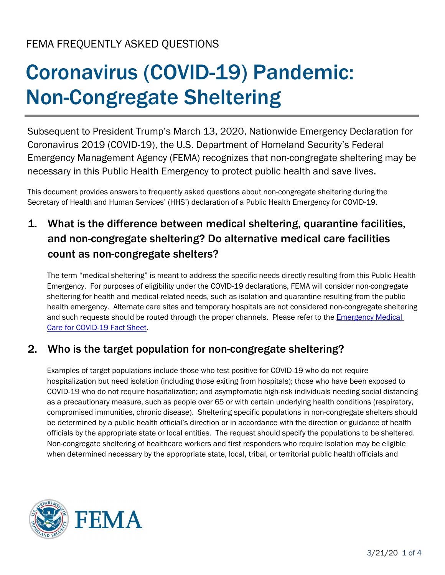# Coronavirus (COVID-19) Pandemic: Non-Congregate Sheltering

Subsequent to President Trump's March 13, 2020, Nationwide Emergency Declaration for Coronavirus 2019 (COVID-19), the U.S. Department of Homeland Security's Federal Emergency Management Agency (FEMA) recognizes that non-congregate sheltering may be necessary in this Public Health Emergency to protect public health and save lives.

This document provides answers to frequently asked questions about non-congregate sheltering during the Secretary of Health and Human Services' (HHS') declaration of a Public Health Emergency for COVID-19.

# 1. What is the difference between medical sheltering, quarantine facilities, and non-congregate sheltering? Do alternative medical care facilities count as non-congregate shelters?

The term "medical sheltering" is meant to address the specific needs directly resulting from this Public Health Emergency. For purposes of eligibility under the COVID-19 declarations, FEMA will consider non-congregate sheltering for health and medical-related needs, such as isolation and quarantine resulting from the public health emergency. Alternate care sites and temporary hospitals are not considered non-congregate sheltering and such requests should be routed through the proper channels. Please refer to the **Emergency Medical** [Care for COVID-19 Fact Sheet.](https://www.fema.gov/coronavirus)

#### 2. Who is the target population for non-congregate sheltering?

Examples of target populations include those who test positive for COVID-19 who do not require hospitalization but need isolation (including those exiting from hospitals); those who have been exposed to COVID-19 who do not require hospitalization; and asymptomatic high-risk individuals needing social distancing as a precautionary measure, such as people over 65 or with certain underlying health conditions (respiratory, compromised immunities, chronic disease). Sheltering specific populations in non-congregate shelters should be determined by a public health official's direction or in accordance with the direction or guidance of health officials by the appropriate state or local entities. The request should specify the populations to be sheltered. Non-congregate sheltering of healthcare workers and first responders who require isolation may be eligible when determined necessary by the appropriate state, local, tribal, or territorial public health officials and

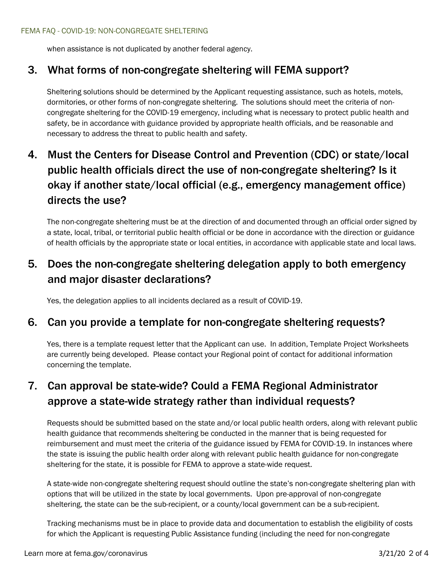when assistance is not duplicated by another federal agency.

#### 3. What forms of non-congregate sheltering will FEMA support?

Sheltering solutions should be determined by the Applicant requesting assistance, such as hotels, motels, dormitories, or other forms of non-congregate sheltering. The solutions should meet the criteria of noncongregate sheltering for the COVID-19 emergency, including what is necessary to protect public health and safety, be in accordance with guidance provided by appropriate health officials, and be reasonable and necessary to address the threat to public health and safety.

# 4. Must the Centers for Disease Control and Prevention (CDC) or state/local public health officials direct the use of non-congregate sheltering? Is it okay if another state/local official (e.g., emergency management office) directs the use?

The non-congregate sheltering must be at the direction of and documented through an official order signed by a state, local, tribal, or territorial public health official or be done in accordance with the direction or guidance of health officials by the appropriate state or local entities, in accordance with applicable state and local laws.

## 5. Does the non-congregate sheltering delegation apply to both emergency and major disaster declarations?

Yes, the delegation applies to all incidents declared as a result of COVID-19.

#### 6. Can you provide a template for non-congregate sheltering requests?

Yes, there is a template request letter that the Applicant can use. In addition, Template Project Worksheets are currently being developed. Please contact your Regional point of contact for additional information concerning the template.

# 7. Can approval be state-wide? Could a FEMA Regional Administrator approve a state-wide strategy rather than individual requests?

Requests should be submitted based on the state and/or local public health orders, along with relevant public health guidance that recommends sheltering be conducted in the manner that is being requested for reimbursement and must meet the criteria of the guidance issued by FEMA for COVID-19. In instances where the state is issuing the public health order along with relevant public health guidance for non-congregate sheltering for the state, it is possible for FEMA to approve a state-wide request.

A state-wide non-congregate sheltering request should outline the state's non-congregate sheltering plan with options that will be utilized in the state by local governments. Upon pre-approval of non-congregate sheltering, the state can be the sub-recipient, or a county/local government can be a sub-recipient.

Tracking mechanisms must be in place to provide data and documentation to establish the eligibility of costs for which the Applicant is requesting Public Assistance funding (including the need for non-congregate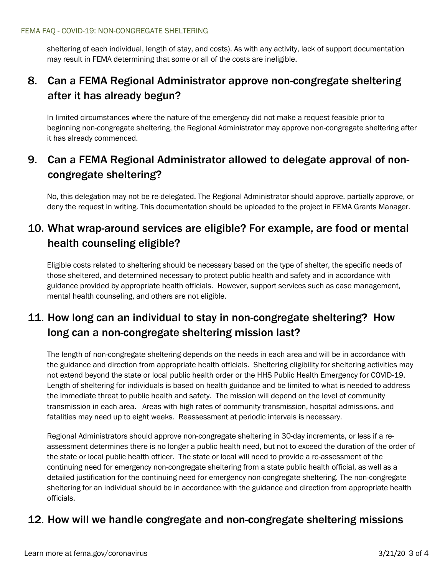sheltering of each individual, length of stay, and costs). As with any activity, lack of support documentation may result in FEMA determining that some or all of the costs are ineligible.

#### 8. Can a FEMA Regional Administrator approve non-congregate sheltering after it has already begun?

In limited circumstances where the nature of the emergency did not make a request feasible prior to beginning non-congregate sheltering, the Regional Administrator may approve non-congregate sheltering after it has already commenced.

## 9. Can a FEMA Regional Administrator allowed to delegate approval of noncongregate sheltering?

No, this delegation may not be re-delegated. The Regional Administrator should approve, partially approve, or deny the request in writing. This documentation should be uploaded to the project in FEMA Grants Manager.

## 10. What wrap-around services are eligible? For example, are food or mental health counseling eligible?

Eligible costs related to sheltering should be necessary based on the type of shelter, the specific needs of those sheltered, and determined necessary to protect public health and safety and in accordance with guidance provided by appropriate health officials. However, support services such as case management, mental health counseling, and others are not eligible.

## 11. How long can an individual to stay in non-congregate sheltering? How long can a non-congregate sheltering mission last?

The length of non-congregate sheltering depends on the needs in each area and will be in accordance with the guidance and direction from appropriate health officials. Sheltering eligibility for sheltering activities may not extend beyond the state or local public health order or the HHS Public Health Emergency for COVID-19. Length of sheltering for individuals is based on health guidance and be limited to what is needed to address the immediate threat to public health and safety. The mission will depend on the level of community transmission in each area. Areas with high rates of community transmission, hospital admissions, and fatalities may need up to eight weeks. Reassessment at periodic intervals is necessary.

Regional Administrators should approve non-congregate sheltering in 30-day increments, or less if a reassessment determines there is no longer a public health need, but not to exceed the duration of the order of the state or local public health officer. The state or local will need to provide a re-assessment of the continuing need for emergency non-congregate sheltering from a state public health official, as well as a detailed justification for the continuing need for emergency non-congregate sheltering. The non-congregate sheltering for an individual should be in accordance with the guidance and direction from appropriate health officials.

#### 12. How will we handle congregate and non-congregate sheltering missions